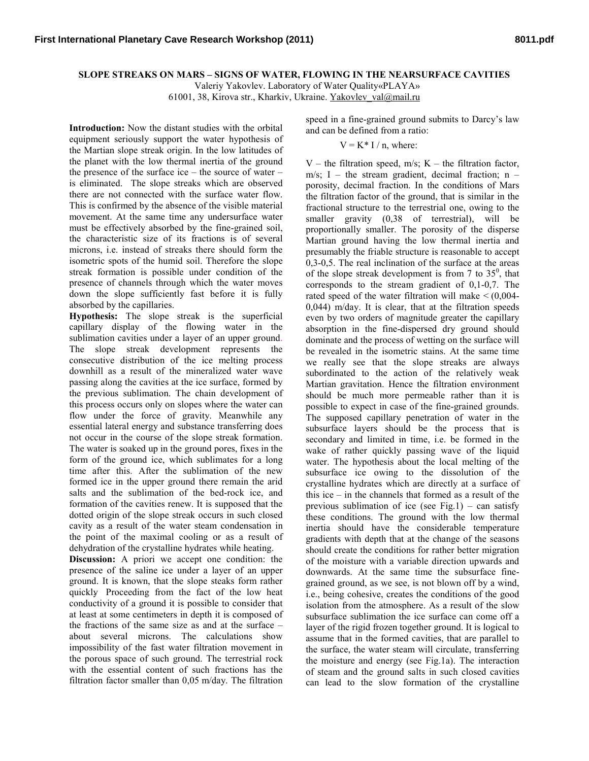## **SLOPE STREAKS ON MARS - SIGNS OF WATER, FLOWING IN THE NEARSURFACE CAVITIES**

Valeriy Yakovlev. Laboratory of Water Quality«PLAYA»

61001, 38, Kirova str., Kharkiv, Ukraine. Yakovlev val@mail.ru

Introduction: Now the distant studies with the orbital equipment seriously support the water hypothesis of the Martian slope streak origin. In the low latitudes of the planet with the low thermal inertia of the ground the presence of the surface ice – the source of water – is eliminated. The slope streaks which are observed there are not connected with the surface water flow. This is confirmed by the absence of the visible material movement. At the same time any undersurface water must be effectively absorbed by the fine-grained soil, the characteristic size of its fractions is of several microns, i.e. instead of streaks there should form the isometric spots of the humid soil. Therefore the slope streak formation is possible under condition of the presence of channels through which the water moves down the slope sufficiently fast before it is fully absorbed by the capillaries.

Hypothesis: The slope streak is the superficial capillary display of the flowing water in the sublimation cavities under a layer of an upper ground. The slope streak development represents the consecutive distribution of the ice melting process downhill as a result of the mineralized water wave passing along the cavities at the ice surface, formed by the previous sublimation. The chain development of this process occurs only on slopes where the water can flow under the force of gravity. Meanwhile any essential lateral energy and substance transferring does not occur in the course of the slope streak formation. The water is soaked up in the ground pores, fixes in the form of the ground ice, which sublimates for a long time after this. After the sublimation of the new formed ice in the upper ground there remain the arid salts and the sublimation of the bed-rock ice, and formation of the cavities renew. It is supposed that the dotted origin of the slope streak occurs in such closed cavity as a result of the water steam condensation in the point of the maximal cooling or as a result of dehydration of the crystalline hydrates while heating.

Discussion: A priori we accept one condition: the presence of the saline ice under a layer of an upper ground. It is known, that the slope steaks form rather quickly Proceeding from the fact of the low heat conductivity of a ground it is possible to consider that at least at some centimeters in depth it is composed of the fractions of the same size as and at the surface  $$ about several microns. The calculations show impossibility of the fast water filtration movement in the porous space of such ground. The terrestrial rock with the essential content of such fractions has the filtration factor smaller than  $0.05$  m/day. The filtration

speed in a fine-grained ground submits to Darcy's law and can be defined from a ratio:

 $V = K^* I / n$ , where:

V – the filtration speed, m/s;  $K$  – the filtration factor, m/s; I – the stream gradient, decimal fraction;  $n$ porosity, decimal fraction. In the conditions of Mars the filtration factor of the ground, that is similar in the fractional structure to the terrestrial one, owing to the smaller gravity (0,38 of terrestrial), will be proportionally smaller. The porosity of the disperse Martian ground having the low thermal inertia and presumably the friable structure is reasonable to accept  $0,3-0,5$ . The real inclination of the surface at the areas of the slope streak development is from 7 to  $35^{\circ}$ , that corresponds to the stream gradient of  $0,1-0,7$ . The rated speed of the water filtration will make  $\leq (0.004 0,044$ ) m/day. It is clear, that at the filtration speeds even by two orders of magnitude greater the capillary absorption in the fine-dispersed dry ground should dominate and the process of wetting on the surface will be revealed in the isometric stains. At the same time we really see that the slope streaks are always subordinated to the action of the relatively weak Martian gravitation. Hence the filtration environment should be much more permeable rather than it is possible to expect in case of the fine-grained grounds. The supposed capillary penetration of water in the subsurface layers should be the process that is secondary and limited in time, i.e. be formed in the wake of rather quickly passing wave of the liquid water. The hypothesis about the local melting of the subsurface ice owing to the dissolution of the crystalline hydrates which are directly at a surface of this ice  $-$  in the channels that formed as a result of the previous sublimation of ice (see Fig.1) – can satisfy these conditions. The ground with the low thermal inertia should have the considerable temperature gradients with depth that at the change of the seasons should create the conditions for rather better migration of the moisture with a variable direction upwards and downwards. At the same time the subsurface finegrained ground, as we see, is not blown off by a wind, i.e., being cohesive, creates the conditions of the good isolation from the atmosphere. As a result of the slow subsurface sublimation the ice surface can come off a layer of the rigid frozen together ground. It is logical to assume that in the formed cavities, that are parallel to the surface, the water steam will circulate, transferring the moisture and energy (see Fig.1a). The interaction of steam and the ground salts in such closed cavities can lead to the slow formation of the crystalline